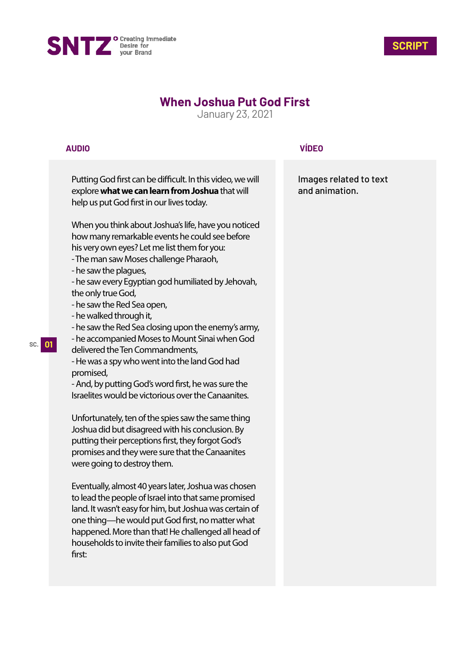



## **When Joshua Put God First**

January 23, 2021

## **AUDIO**

Putting God first can be difficult. In this video, we will explore **what we can learn from Joshua** that will help us put God first in our lives today.

When you think about Joshua's life, have you noticed how many remarkable events he could see before his very own eyes? Let me list them for you:

- The man saw Moses challenge Pharaoh,
- he saw the plagues,
- he saw every Egyptian god humiliated by Jehovah, the only true God,
- he saw the Red Sea open,
- he walked through it,
- he saw the Red Sea closing upon the enemy's army,

- he accompanied Moses to Mount Sinai when God delivered the Ten Commandments,

- He was a spy who went into the land God had promised,

- And, by putting God's word first, he was sure the Israelites would be victorious over the Canaanites.

Unfortunately, ten of the spies saw the same thing Joshua did but disagreed with his conclusion. By putting their perceptions first, they forgot God's promises and they were sure that the Canaanites were going to destroy them.

Eventually, almost 40 years later, Joshua was chosen to lead the people of Israel into that same promised land. It wasn't easy for him, but Joshua was certain of one thing—he would put God first, no matter what happened. More than that! He challenged all head of households to invite their families to also put God first:

## **VÍDEO**

Images related to text and animation.

**SC. 01**